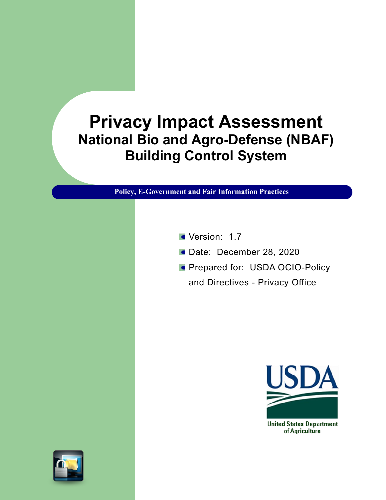# **Privacy Impact Assessment National Bio and Agro-Defense (NBAF) Building Control System**

**Policy, E-Government and Fair Information Practices**

- Version: 1.7
- Date: December 28, 2020
- **Prepared for: USDA OCIO-Policy** 
	- and Directives Privacy Office



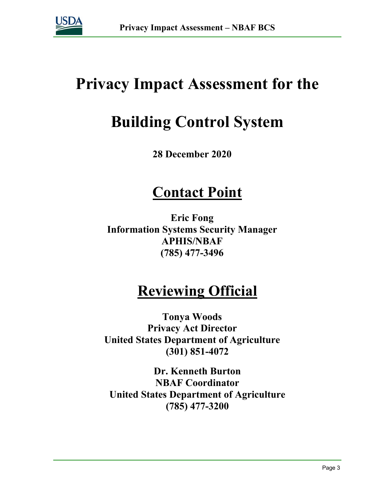

# **Privacy Impact Assessment for the**

# **Building Control System**

**28 December 2020**

# **Contact Point**

**Eric Fong Information Systems Security Manager APHIS/NBAF (785) 477-3496**

# **Reviewing Official**

**Tonya Woods Privacy Act Director United States Department of Agriculture (301) 851-4072**

**Dr. Kenneth Burton NBAF Coordinator United States Department of Agriculture (785) 477-3200**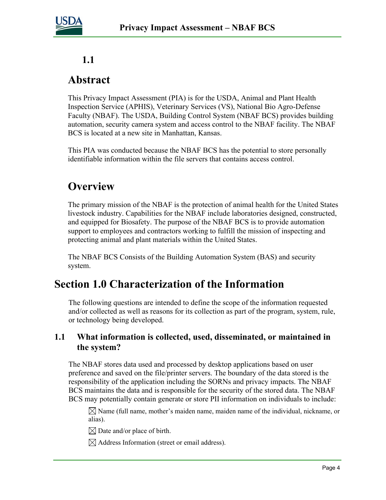

## **1.1**

## **Abstract**

This Privacy Impact Assessment (PIA) is for the USDA, Animal and Plant Health Inspection Service (APHIS), Veterinary Services (VS), National Bio Agro-Defense Faculty (NBAF). The USDA, Building Control System (NBAF BCS) provides building automation, security camera system and access control to the NBAF facility. The NBAF BCS is located at a new site in Manhattan, Kansas.

This PIA was conducted because the NBAF BCS has the potential to store personally identifiable information within the file servers that contains access control.

# **Overview**

The primary mission of the NBAF is the protection of animal health for the United States livestock industry. Capabilities for the NBAF include laboratories designed, constructed, and equipped for Biosafety. The purpose of the NBAF BCS is to provide automation support to employees and contractors working to fulfill the mission of inspecting and protecting animal and plant materials within the United States.

The NBAF BCS Consists of the Building Automation System (BAS) and security system.

## **Section 1.0 Characterization of the Information**

The following questions are intended to define the scope of the information requested and/or collected as well as reasons for its collection as part of the program, system, rule, or technology being developed.

### **1.1 What information is collected, used, disseminated, or maintained in the system?**

The NBAF stores data used and processed by desktop applications based on user preference and saved on the file/printer servers. The boundary of the data stored is the responsibility of the application including the SORNs and privacy impacts. The NBAF BCS maintains the data and is responsible for the security of the stored data. The NBAF BCS may potentially contain generate or store PII information on individuals to include:

 $\boxtimes$  Name (full name, mother's maiden name, maiden name of the individual, nickname, or alias).

 $\boxtimes$  Date and/or place of birth.

 $\boxtimes$  Address Information (street or email address).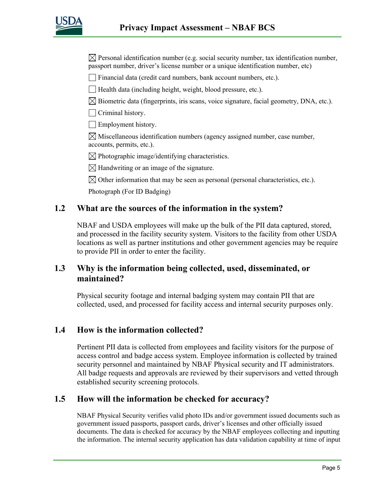

 $\boxtimes$  Personal identification number (e.g. social security number, tax identification number, passport number, driver's license number or a unique identification number, etc)

Financial data (credit card numbers, bank account numbers, etc.).

 $\Box$  Health data (including height, weight, blood pressure, etc.).

 $\boxtimes$  Biometric data (fingerprints, iris scans, voice signature, facial geometry, DNA, etc.).

 $\Box$  Criminal history.

**Employment history.** 

 $\boxtimes$  Miscellaneous identification numbers (agency assigned number, case number, accounts, permits, etc.).

 $\boxtimes$  Photographic image/identifying characteristics.

 $\boxtimes$  Handwriting or an image of the signature.

 $\boxtimes$  Other information that may be seen as personal (personal characteristics, etc.).

Photograph (For ID Badging)

#### **1.2 What are the sources of the information in the system?**

NBAF and USDA employees will make up the bulk of the PII data captured, stored, and processed in the facility security system. Visitors to the facility from other USDA locations as well as partner institutions and other government agencies may be require to provide PII in order to enter the facility.

#### **1.3 Why is the information being collected, used, disseminated, or maintained?**

Physical security footage and internal badging system may contain PII that are collected, used, and processed for facility access and internal security purposes only.

#### **1.4 How is the information collected?**

Pertinent PII data is collected from employees and facility visitors for the purpose of access control and badge access system. Employee information is collected by trained security personnel and maintained by NBAF Physical security and IT administrators. All badge requests and approvals are reviewed by their supervisors and vetted through established security screening protocols.

#### **1.5 How will the information be checked for accuracy?**

NBAF Physical Security verifies valid photo IDs and/or government issued documents such as government issued passports, passport cards, driver's licenses and other officially issued documents. The data is checked for accuracy by the NBAF employees collecting and inputting the information. The internal security application has data validation capability at time of input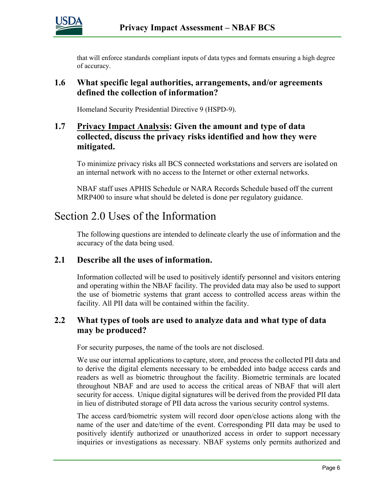

that will enforce standards compliant inputs of data types and formats ensuring a high degree of accuracy.

#### **1.6 What specific legal authorities, arrangements, and/or agreements defined the collection of information?**

Homeland Security Presidential Directive 9 (HSPD-9).

### **1.7 Privacy Impact Analysis: Given the amount and type of data collected, discuss the privacy risks identified and how they were mitigated.**

To minimize privacy risks all BCS connected workstations and servers are isolated on an internal network with no access to the Internet or other external networks.

NBAF staff uses APHIS Schedule or NARA Records Schedule based off the current MRP400 to insure what should be deleted is done per regulatory guidance.

## Section 2.0 Uses of the Information

The following questions are intended to delineate clearly the use of information and the accuracy of the data being used.

#### **2.1 Describe all the uses of information.**

Information collected will be used to positively identify personnel and visitors entering and operating within the NBAF facility. The provided data may also be used to support the use of biometric systems that grant access to controlled access areas within the facility. All PII data will be contained within the facility.

#### **2.2 What types of tools are used to analyze data and what type of data may be produced?**

For security purposes, the name of the tools are not disclosed.

We use our internal applications to capture, store, and process the collected PII data and to derive the digital elements necessary to be embedded into badge access cards and readers as well as biometric throughout the facility. Biometric terminals are located throughout NBAF and are used to access the critical areas of NBAF that will alert security for access. Unique digital signatures will be derived from the provided PII data in lieu of distributed storage of PII data across the various security control systems.

The access card/biometric system will record door open/close actions along with the name of the user and date/time of the event. Corresponding PII data may be used to positively identify authorized or unauthorized access in order to support necessary inquiries or investigations as necessary. NBAF systems only permits authorized and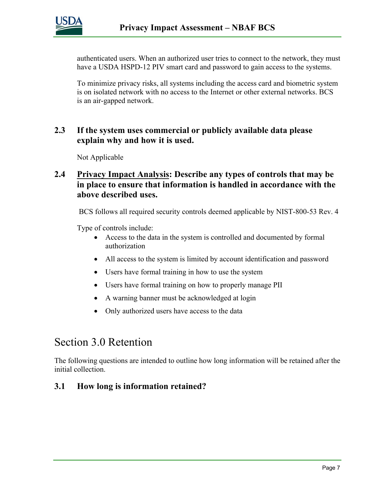

authenticated users. When an authorized user tries to connect to the network, they must have a USDA HSPD-12 PIV smart card and password to gain access to the systems.

To minimize privacy risks, all systems including the access card and biometric system is on isolated network with no access to the Internet or other external networks. BCS is an air-gapped network.

### **2.3 If the system uses commercial or publicly available data please explain why and how it is used.**

Not Applicable

#### **2.4 Privacy Impact Analysis: Describe any types of controls that may be in place to ensure that information is handled in accordance with the above described uses.**

BCS follows all required security controls deemed applicable by NIST-800-53 Rev. 4

Type of controls include:

- Access to the data in the system is controlled and documented by formal authorization
- All access to the system is limited by account identification and password
- Users have formal training in how to use the system
- Users have formal training on how to properly manage PII
- A warning banner must be acknowledged at login
- Only authorized users have access to the data

## Section 3.0 Retention

The following questions are intended to outline how long information will be retained after the initial collection.

#### **3.1 How long is information retained?**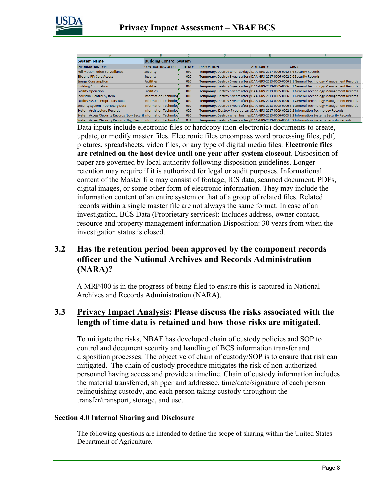

| <b>System Name</b>                                                 | <b>Building Control System</b> |              |                                                                                |                  |                                                                                                     |
|--------------------------------------------------------------------|--------------------------------|--------------|--------------------------------------------------------------------------------|------------------|-----------------------------------------------------------------------------------------------------|
| <b>INFORMATION TYPE</b>                                            | <b>CONTROLLING OFFICE</b>      | <b>ITEM#</b> | <b>DISPOSITION</b>                                                             | <b>AUTHORITY</b> | GRS#                                                                                                |
| <b>Full Motion Video Surveillance</b>                              | <b>Security</b>                | 090          | Temporary. Destroy when 30 days DAA-GRS-2017-0006-0012 5.6 Security Records    |                  |                                                                                                     |
| Site and PIV Card Access                                           | <b>Security</b>                | 020          | Temporary. Destroy 3 years after r DAA-GRS-2017-0006-0002 5.6 Security Records |                  |                                                                                                     |
| <b>Energy Consumption</b>                                          | <b>Facilities</b>              | 010          |                                                                                |                  | Temporary. Destroy 5 years after pDAA-GRS-2013-0005-0006 3.1 General Technology Management Records  |
| <b>Building Automation</b>                                         | <b>Facilities</b>              | 010          |                                                                                |                  | Temporary. Destroy 5 years after pDAA-GRS-2013-0005-0006 3.1 General Technology Management Records  |
| <b>Facility Operation</b>                                          | <b>Facilities</b>              | 010          |                                                                                |                  | Temporary. Destroy 5 years after pDAA-GRS-2013-0005-0006 3.1 General Technology Management Records  |
| <b>Industrial Control System</b>                                   | <b>Information Technolog</b>   | 010          |                                                                                |                  | Temporary. Destroy 5 years after pDAA-GRS-2013-0005-0006 3.1 General Technology Management Records  |
| <b>Facility System Proprietary Data</b>                            | Information Technolog          | 010          |                                                                                |                  | Temporary. Destroy 5 years after p DAA-GRS-2013-0005-0006 3.1 General Technology Management Records |
| Security System Proprietary Data                                   | Information Technolog          | 010          |                                                                                |                  | Temporary. Destroy 5 years after pDAA-GRS-2013-0005-0006 3.1 General Technology Management Records  |
| <b>System Architecture Records</b>                                 | Information Technolog          | 020          |                                                                                |                  | Temporary. Destroy 7 years after (DAA-GRS-2017-0009-0002 6.2 Information Technology Records         |
| System Access/Security Records (Low Securit Information Technolog  |                                | 030          |                                                                                |                  | Temporary. Destroy when busines DAA-GRS-2013-0006-0003 3.2 Information Systems Security Records     |
| Surtom Aconce/Socurity Records (High Socuri Information Tophnology |                                | 021          |                                                                                |                  | Temperary, Dectroy Events often DAA, CBS 2012, 0006,0004, 2.2 Information Systems Security Becords  |

Data inputs include electronic files or hardcopy (non-electronic) documents to create, update, or modify master files. Electronic files encompass word processing files, pdf, pictures, spreadsheets, video files, or any type of digital media files. **Electronic files are retained on the host device until one year after system closeout**. Disposition of paper are governed by local authority following disposition guidelines. Longer retention may require if it is authorized for legal or audit purposes. Informational content of the Master file may consist of footage, ICS data, scanned document, PDFs, digital images, or some other form of electronic information. They may include the information content of an entire system or that of a group of related files. Related records within a single master file are not always the same format. In case of an investigation, BCS Data (Proprietary services): Includes address, owner contact, resource and property management information Disposition: 30 years from when the investigation status is closed.

#### **3.2 Has the retention period been approved by the component records officer and the National Archives and Records Administration (NARA)?**

A MRP400 is in the progress of being filed to ensure this is captured in National Archives and Records Administration (NARA).

#### **3.3 Privacy Impact Analysis: Please discuss the risks associated with the length of time data is retained and how those risks are mitigated.**

To mitigate the risks, NBAF has developed chain of custody policies and SOP to control and document security and handling of BCS information transfer and disposition processes. The objective of chain of custody/SOP is to ensure that risk can mitigated. The chain of custody procedure mitigates the risk of non-authorized personnel having access and provide a timeline. Chain of custody information includes the material transferred, shipper and addressee, time/date/signature of each person relinquishing custody, and each person taking custody throughout the transfer/transport, storage, and use.

#### **Section 4.0 Internal Sharing and Disclosure**

The following questions are intended to define the scope of sharing within the United States Department of Agriculture.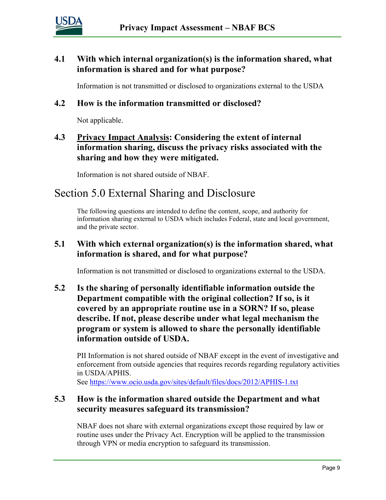

### **4.1 With which internal organization(s) is the information shared, what information is shared and for what purpose?**

Information is not transmitted or disclosed to organizations external to the USDA

#### **4.2 How is the information transmitted or disclosed?**

Not applicable.

### **4.3 Privacy Impact Analysis: Considering the extent of internal information sharing, discuss the privacy risks associated with the sharing and how they were mitigated.**

Information is not shared outside of NBAF.

## Section 5.0 External Sharing and Disclosure

The following questions are intended to define the content, scope, and authority for information sharing external to USDA which includes Federal, state and local government, and the private sector.

### **5.1 With which external organization(s) is the information shared, what information is shared, and for what purpose?**

Information is not transmitted or disclosed to organizations external to the USDA.

**5.2 Is the sharing of personally identifiable information outside the Department compatible with the original collection? If so, is it covered by an appropriate routine use in a SORN? If so, please describe. If not, please describe under what legal mechanism the program or system is allowed to share the personally identifiable information outside of USDA.** 

PII Information is not shared outside of NBAF except in the event of investigative and enforcement from outside agencies that requires records regarding regulatory activities in USDA/APHIS.

See<https://www.ocio.usda.gov/sites/default/files/docs/2012/APHIS-1.txt>

## **5.3 How is the information shared outside the Department and what security measures safeguard its transmission?**

NBAF does not share with external organizations except those required by law or routine uses under the Privacy Act. Encryption will be applied to the transmission through VPN or media encryption to safeguard its transmission.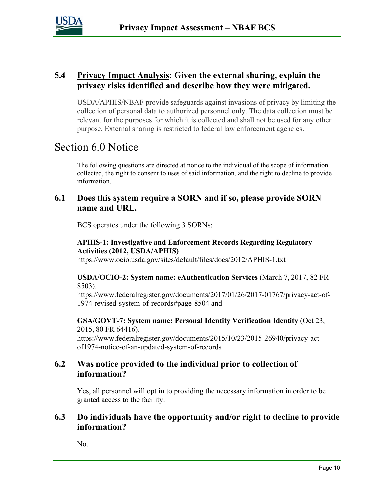

### **5.4 Privacy Impact Analysis: Given the external sharing, explain the privacy risks identified and describe how they were mitigated.**

USDA/APHIS/NBAF provide safeguards against invasions of privacy by limiting the collection of personal data to authorized personnel only. The data collection must be relevant for the purposes for which it is collected and shall not be used for any other purpose. External sharing is restricted to federal law enforcement agencies.

## Section 6.0 Notice

The following questions are directed at notice to the individual of the scope of information collected, the right to consent to uses of said information, and the right to decline to provide information.

#### **6.1 Does this system require a SORN and if so, please provide SORN name and URL.**

BCS operates under the following 3 SORNs:

#### **APHIS-1: Investigative and Enforcement Records Regarding Regulatory Activities (2012, USDA/APHIS)**

https://www.ocio.usda.gov/sites/default/files/docs/2012/APHIS-1.txt

#### **USDA/OCIO-2: System name: eAuthentication Services** (March 7, 2017, 82 FR 8503).

https://www.federalregister.gov/documents/2017/01/26/2017-01767/privacy-act-of-1974-revised-system-of-records#page-8504 and

**GSA/GOVT-7: System name: Personal Identity Verification Identity** (Oct 23, 2015, 80 FR 64416). https://www.federalregister.gov/documents/2015/10/23/2015-26940/privacy-actof1974-notice-of-an-updated-system-of-records

### **6.2 Was notice provided to the individual prior to collection of information?**

Yes, all personnel will opt in to providing the necessary information in order to be granted access to the facility.

#### **6.3 Do individuals have the opportunity and/or right to decline to provide information?**

No.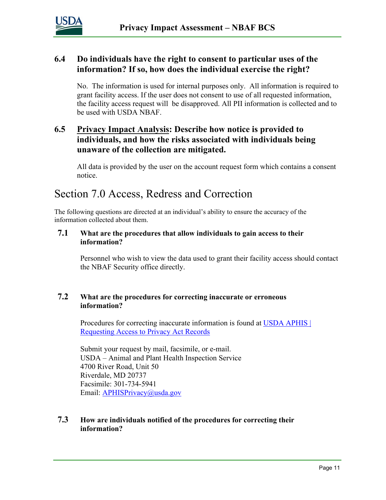

#### **6.4 Do individuals have the right to consent to particular uses of the information? If so, how does the individual exercise the right?**

No. The information is used for internal purposes only. All information is required to grant facility access. If the user does not consent to use of all requested information, the facility access request will be disapproved. All PII information is collected and to be used with USDA NBAF.

### **6.5 Privacy Impact Analysis: Describe how notice is provided to individuals, and how the risks associated with individuals being unaware of the collection are mitigated.**

All data is provided by the user on the account request form which contains a consent notice.

## Section 7.0 Access, Redress and Correction

The following questions are directed at an individual's ability to ensure the accuracy of the information collected about them.

#### **7.1 What are the procedures that allow individuals to gain access to their information?**

Personnel who wish to view the data used to grant their facility access should contact the NBAF Security office directly.

#### **7.2 What are the procedures for correcting inaccurate or erroneous information?**

Procedures for correcting inaccurate information is found at USDA APHIS | [Requesting Access to Privacy Act Records](https://gcc02.safelinks.protection.outlook.com/?url=https%3A%2F%2Fwww.aphis.usda.gov%2Faphis%2Fresources%2Flawsandregs%2Fprivacy-act%2Frequest-access%2Frequest-access&data=04%7C01%7C%7C546bbcd64b994ae9753e08d8a771dde1%7Ced5b36e701ee4ebc867ee03cfa0d4697%7C0%7C0%7C637443454777379332%7CUnknown%7CTWFpbGZsb3d8eyJWIjoiMC4wLjAwMDAiLCJQIjoiV2luMzIiLCJBTiI6Ik1haWwiLCJXVCI6Mn0%3D%7C1000&sdata=lSPsP7Taxo466xzKQ%2BUYwLnaRyLtIvPy%2FyzcQwU%2BVcs%3D&reserved=0)

Submit your request by mail, facsimile, or e-mail. USDA – Animal and Plant Health Inspection Service 4700 River Road, Unit 50 Riverdale, MD 20737 Facsimile: 301-734-5941 Email: [APHISPrivacy@usda.gov](mailto:APHISPrivacy@usda.gov)

#### **7.3 How are individuals notified of the procedures for correcting their information?**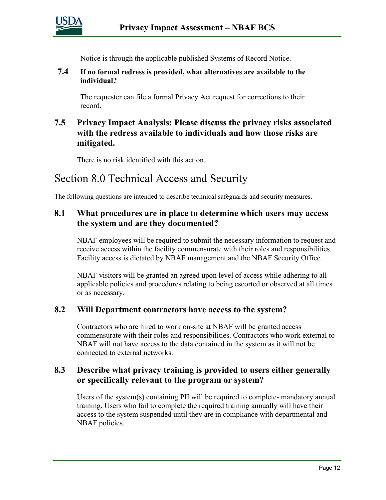

Notice is through the applicable published Systems of Record Notice.

**7.4 If no formal redress is provided, what alternatives are available to the individual?**

The requester can file a formal Privacy Act request for corrections to their record.

### **7.5 Privacy Impact Analysis: Please discuss the privacy risks associated with the redress available to individuals and how those risks are mitigated.**

There is no risk identified with this action.

## Section 8.0 Technical Access and Security

The following questions are intended to describe technical safeguards and security measures.

#### **8.1 What procedures are in place to determine which users may access the system and are they documented?**

NBAF employees will be required to submit the necessary information to request and receive access within the facility commensurate with their roles and responsibilities. Facility access is dictated by NBAF management and the NBAF Security Office.

NBAF visitors will be granted an agreed upon level of access while adhering to all applicable policies and procedures relating to being escorted or observed at all times or as necessary.

#### **8.2 Will Department contractors have access to the system?**

Contractors who are hired to work on-site at NBAF will be granted access commensurate with their roles and responsibilities. Contractors who work external to NBAF will not have access to the data contained in the system as it will not be connected to external networks.

#### **8.3 Describe what privacy training is provided to users either generally or specifically relevant to the program or system?**

Users of the system(s) containing PII will be required to complete- mandatory annual training. Users who fail to complete the required training annually will have their access to the system suspended until they are in compliance with departmental and NBAF policies.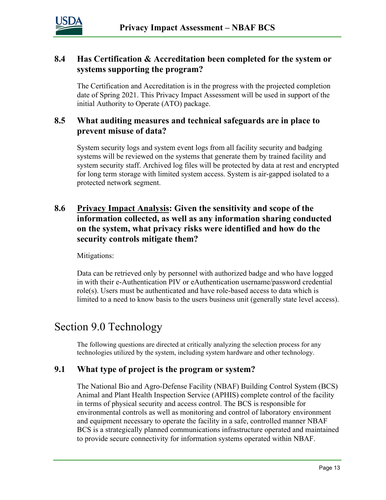

#### **8.4 Has Certification & Accreditation been completed for the system or systems supporting the program?**

The Certification and Accreditation is in the progress with the projected completion date of Spring 2021. This Privacy Impact Assessment will be used in support of the initial Authority to Operate (ATO) package.

#### **8.5 What auditing measures and technical safeguards are in place to prevent misuse of data?**

System security logs and system event logs from all facility security and badging systems will be reviewed on the systems that generate them by trained facility and system security staff. Archived log files will be protected by data at rest and encrypted for long term storage with limited system access. System is air-gapped isolated to a protected network segment.

### **8.6 Privacy Impact Analysis: Given the sensitivity and scope of the information collected, as well as any information sharing conducted on the system, what privacy risks were identified and how do the security controls mitigate them?**

Mitigations:

Data can be retrieved only by personnel with authorized badge and who have logged in with their e-Authentication PIV or eAuthentication username/password credential role(s). Users must be authenticated and have role-based access to data which is limited to a need to know basis to the users business unit (generally state level access).

## Section 9.0 Technology

The following questions are directed at critically analyzing the selection process for any technologies utilized by the system, including system hardware and other technology.

## **9.1 What type of project is the program or system?**

The National Bio and Agro-Defense Facility (NBAF) Building Control System (BCS) Animal and Plant Health Inspection Service (APHIS) complete control of the facility in terms of physical security and access control. The BCS is responsible for environmental controls as well as monitoring and control of laboratory environment and equipment necessary to operate the facility in a safe, controlled manner NBAF BCS is a strategically planned communications infrastructure operated and maintained to provide secure connectivity for information systems operated within NBAF.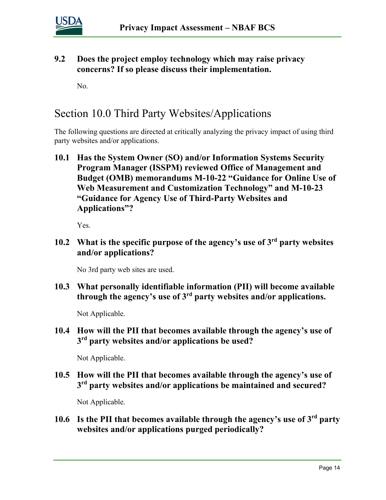

**9.2 Does the project employ technology which may raise privacy concerns? If so please discuss their implementation.** 

No.

## Section 10.0 Third Party Websites/Applications

The following questions are directed at critically analyzing the privacy impact of using third party websites and/or applications.

**10.1 Has the System Owner (SO) and/or Information Systems Security Program Manager (ISSPM) reviewed Office of Management and Budget (OMB) memorandums M-10-22 "Guidance for Online Use of Web Measurement and Customization Technology" and M-10-23 "Guidance for Agency Use of Third-Party Websites and Applications"?**

Yes.

**10.2 What is the specific purpose of the agency's use of 3rd party websites and/or applications?**

No 3rd party web sites are used.

**10.3 What personally identifiable information (PII) will become available through the agency's use of 3rd party websites and/or applications.**

Not Applicable.

**10.4 How will the PII that becomes available through the agency's use of 3rd party websites and/or applications be used?**

Not Applicable.

**10.5 How will the PII that becomes available through the agency's use of 3rd party websites and/or applications be maintained and secured?**

Not Applicable.

**10.6 Is the PII that becomes available through the agency's use of 3rd party websites and/or applications purged periodically?**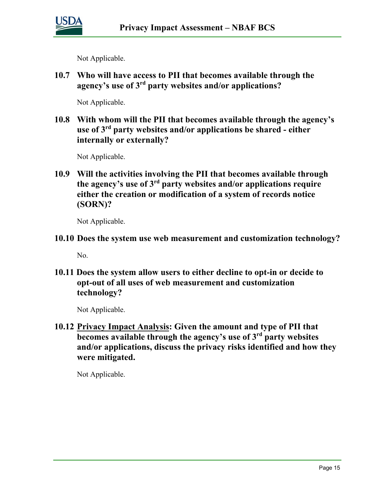

Not Applicable.

**10.7 Who will have access to PII that becomes available through the agency's use of 3rd party websites and/or applications?**

Not Applicable.

**10.8 With whom will the PII that becomes available through the agency's use of 3rd party websites and/or applications be shared - either internally or externally?**

Not Applicable.

**10.9 Will the activities involving the PII that becomes available through the agency's use of 3rd party websites and/or applications require either the creation or modification of a system of records notice (SORN)?**

Not Applicable.

**10.10 Does the system use web measurement and customization technology?**

No.

**10.11 Does the system allow users to either decline to opt-in or decide to opt-out of all uses of web measurement and customization technology?**

Not Applicable.

**10.12 Privacy Impact Analysis: Given the amount and type of PII that becomes available through the agency's use of 3rd party websites and/or applications, discuss the privacy risks identified and how they were mitigated.** 

Not Applicable.